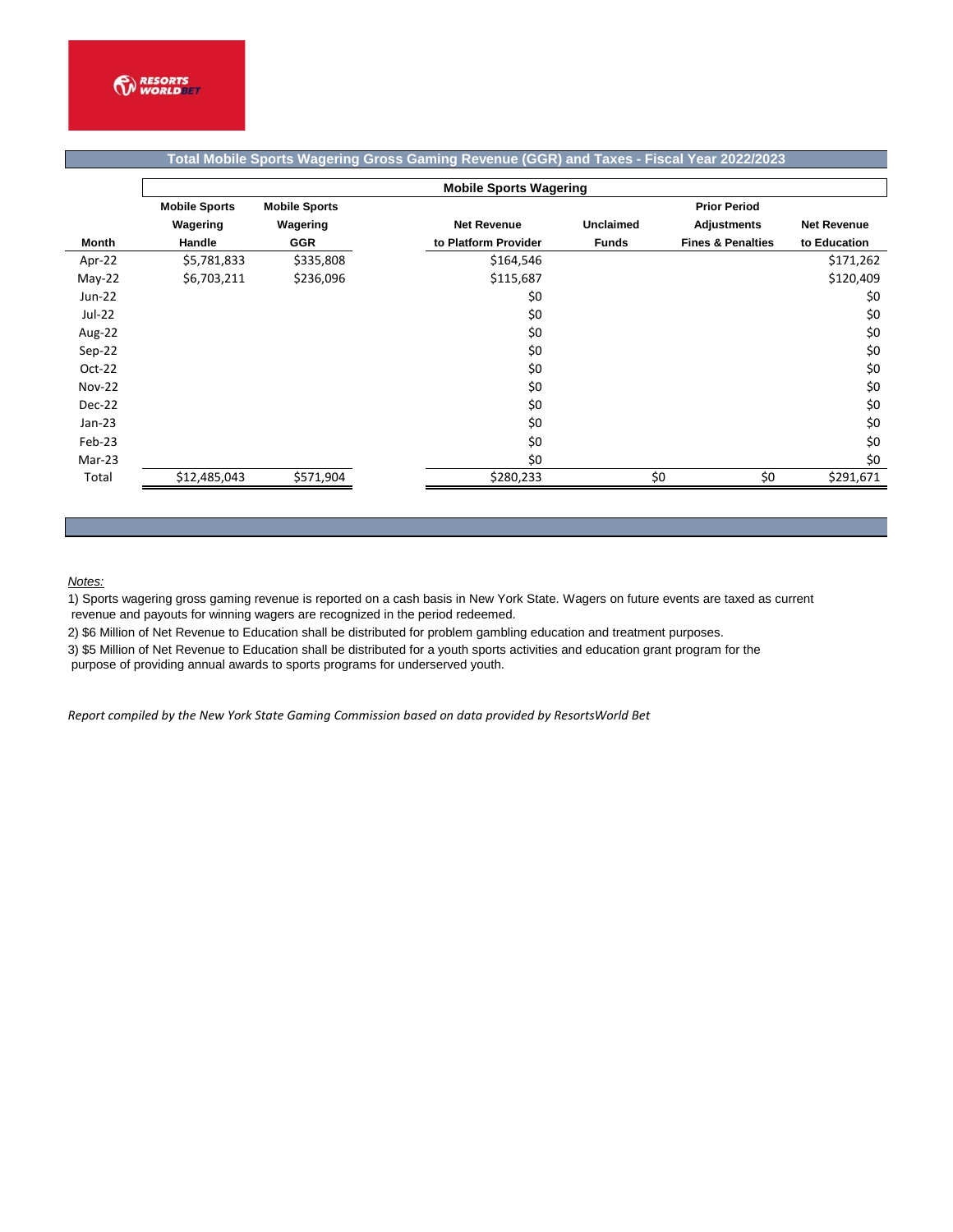|               | <b>Mobile Sports Wagering</b>                |            |  |                      |                  |                              |                    |  |  |  |
|---------------|----------------------------------------------|------------|--|----------------------|------------------|------------------------------|--------------------|--|--|--|
|               | <b>Mobile Sports</b><br><b>Mobile Sports</b> |            |  |                      |                  | <b>Prior Period</b>          |                    |  |  |  |
|               | Wagering                                     | Wagering   |  | <b>Net Revenue</b>   | <b>Unclaimed</b> | <b>Adjustments</b>           | <b>Net Revenue</b> |  |  |  |
| <b>Month</b>  | Handle                                       | <b>GGR</b> |  | to Platform Provider | <b>Funds</b>     | <b>Fines &amp; Penalties</b> | to Education       |  |  |  |
| Apr-22        | \$5,781,833                                  | \$335,808  |  | \$164,546            |                  |                              | \$171,262          |  |  |  |
| May-22        | \$6,703,211                                  | \$236,096  |  | \$115,687            |                  |                              | \$120,409          |  |  |  |
| Jun-22        |                                              |            |  | \$0                  |                  |                              | \$0                |  |  |  |
| Jul-22        |                                              |            |  | \$0                  |                  |                              | \$0                |  |  |  |
| Aug-22        |                                              |            |  | \$0                  |                  |                              | \$0                |  |  |  |
| $Sep-22$      |                                              |            |  | \$0                  |                  |                              | \$0                |  |  |  |
| $Oct-22$      |                                              |            |  | \$0                  |                  |                              | \$0                |  |  |  |
| <b>Nov-22</b> |                                              |            |  | \$0                  |                  |                              | \$0                |  |  |  |
| Dec-22        |                                              |            |  | \$0                  |                  |                              | \$0                |  |  |  |
| $Jan-23$      |                                              |            |  | \$0                  |                  |                              | \$0                |  |  |  |
| Feb-23        |                                              |            |  | \$0                  |                  |                              | \$0                |  |  |  |
| Mar-23        |                                              |            |  | \$0                  |                  |                              | \$0                |  |  |  |
| Total         | \$12,485,043                                 | \$571,904  |  | \$280,233            |                  | \$0<br>\$0                   | \$291,671          |  |  |  |

## **Total Mobile Sports Wagering Gross Gaming Revenue (GGR) and Taxes - Fiscal Year 2022/2023**

## *Notes:*

1) Sports wagering gross gaming revenue is reported on a cash basis in New York State. Wagers on future events are taxed as current revenue and payouts for winning wagers are recognized in the period redeemed.

2) \$6 Million of Net Revenue to Education shall be distributed for problem gambling education and treatment purposes.

3) \$5 Million of Net Revenue to Education shall be distributed for a youth sports activities and education grant program for the

purpose of providing annual awards to sports programs for underserved youth.

*Report compiled by the New York State Gaming Commission based on data provided by ResortsWorld Bet*